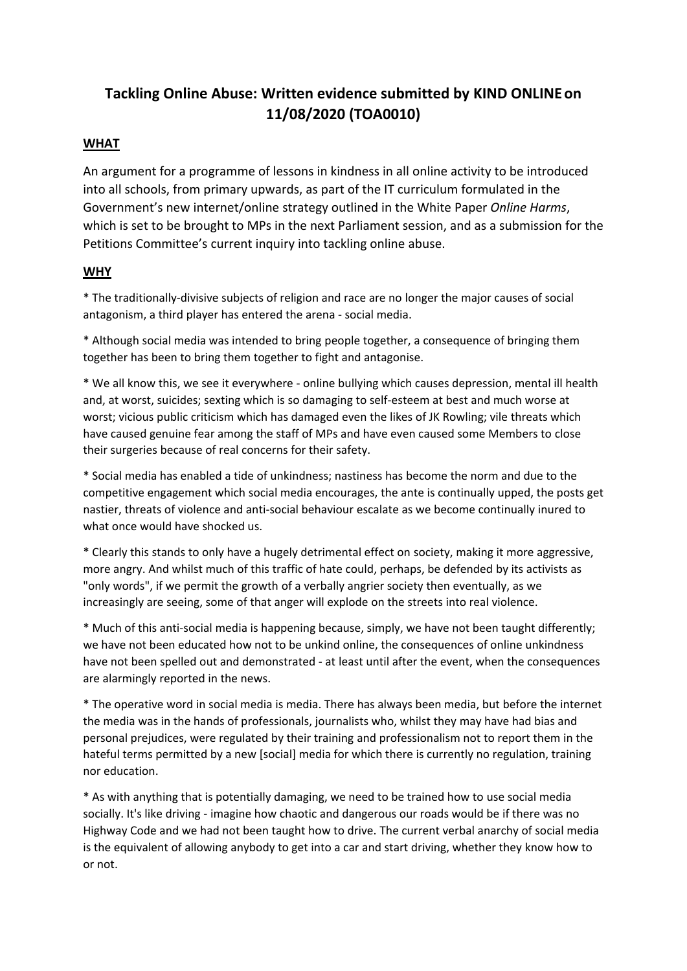# **Tackling Online Abuse: Written evidence submitted by KIND ONLINEon 11/08/2020 (TOA0010)**

## **WHAT**

An argument for a programme of lessons in kindness in all online activity to be introduced into all schools, from primary upwards, as part of the IT curriculum formulated in the Government's new internet/online strategy outlined in the White Paper *Online Harms*, which is set to be brought to MPs in the next Parliament session, and as a submission for the Petitions Committee's current inquiry into tackling online abuse.

## **WHY**

\* The traditionally-divisive subjects of religion and race are no longer the major causes of social antagonism, a third player has entered the arena - social media.

\* Although social media was intended to bring people together, a consequence of bringing them together has been to bring them together to fight and antagonise.

\* We all know this, we see it everywhere - online bullying which causes depression, mental ill health and, at worst, suicides; sexting which is so damaging to self-esteem at best and much worse at worst; vicious public criticism which has damaged even the likes of JK Rowling; vile threats which have caused genuine fear among the staff of MPs and have even caused some Members to close their surgeries because of real concerns for their safety.

\* Social media has enabled a tide of unkindness; nastiness has become the norm and due to the competitive engagement which social media encourages, the ante is continually upped, the posts get nastier, threats of violence and anti-social behaviour escalate as we become continually inured to what once would have shocked us.

\* Clearly this stands to only have a hugely detrimental effect on society, making it more aggressive, more angry. And whilst much of this traffic of hate could, perhaps, be defended by its activists as "only words", if we permit the growth of a verbally angrier society then eventually, as we increasingly are seeing, some of that anger will explode on the streets into real violence.

\* Much of this anti-social media is happening because, simply, we have not been taught differently; we have not been educated how not to be unkind online, the consequences of online unkindness have not been spelled out and demonstrated - at least until after the event, when the consequences are alarmingly reported in the news.

\* The operative word in social media is media. There has always been media, but before the internet the media was in the hands of professionals, journalists who, whilst they may have had bias and personal prejudices, were regulated by their training and professionalism not to report them in the hateful terms permitted by a new [social] media for which there is currently no regulation, training nor education.

\* As with anything that is potentially damaging, we need to be trained how to use social media socially. It's like driving - imagine how chaotic and dangerous our roads would be if there was no Highway Code and we had not been taught how to drive. The current verbal anarchy of social media is the equivalent of allowing anybody to get into a car and start driving, whether they know how to or not.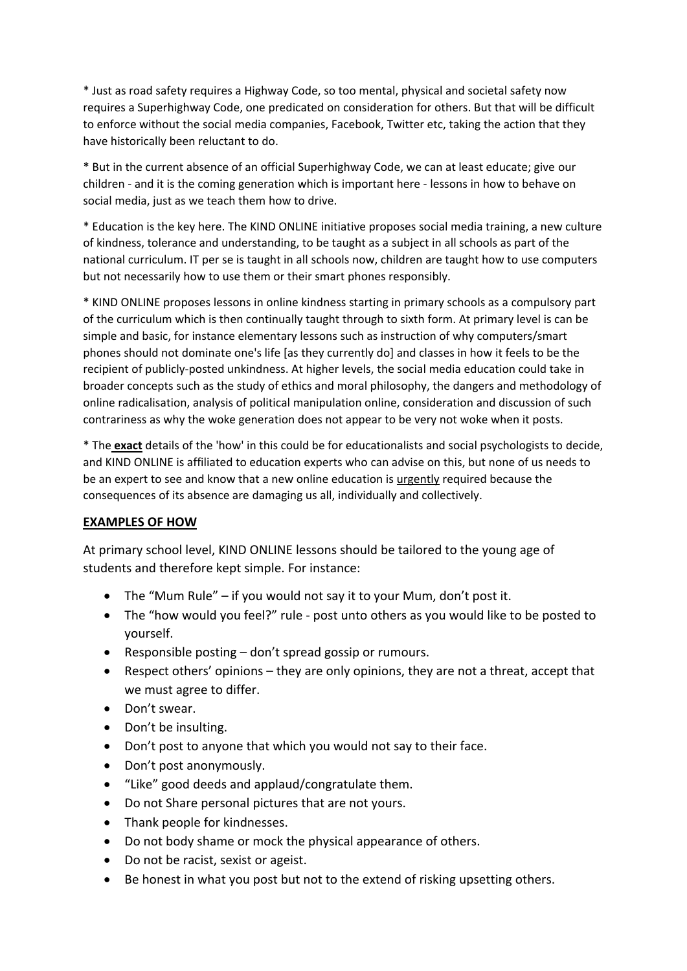\* Just as road safety requires a Highway Code, so too mental, physical and societal safety now requires a Superhighway Code, one predicated on consideration for others. But that will be difficult to enforce without the social media companies, Facebook, Twitter etc, taking the action that they have historically been reluctant to do.

\* But in the current absence of an official Superhighway Code, we can at least educate; give our children - and it is the coming generation which is important here - lessons in how to behave on social media, just as we teach them how to drive.

\* Education is the key here. The KIND ONLINE initiative proposes social media training, a new culture of kindness, tolerance and understanding, to be taught as a subject in all schools as part of the national curriculum. IT per se is taught in all schools now, children are taught how to use computers but not necessarily how to use them or their smart phones responsibly.

\* KIND ONLINE proposes lessons in online kindness starting in primary schools as a compulsory part of the curriculum which is then continually taught through to sixth form. At primary level is can be simple and basic, for instance elementary lessons such as instruction of why computers/smart phones should not dominate one's life [as they currently do] and classes in how it feels to be the recipient of publicly-posted unkindness. At higher levels, the social media education could take in broader concepts such as the study of ethics and moral philosophy, the dangers and methodology of online radicalisation, analysis of political manipulation online, consideration and discussion of such contrariness as why the woke generation does not appear to be very not woke when it posts.

\* The **exact** details of the 'how' in this could be for educationalists and social psychologists to decide, and KIND ONLINE is affiliated to education experts who can advise on this, but none of us needs to be an expert to see and know that a new online education is urgently required because the consequences of its absence are damaging us all, individually and collectively.

#### **EXAMPLES OF HOW**

At primary school level, KIND ONLINE lessons should be tailored to the young age of students and therefore kept simple. For instance:

- The "Mum Rule" if you would not say it to your Mum, don't post it.
- The "how would you feel?" rule post unto others as you would like to be posted to yourself.
- Responsible posting don't spread gossip or rumours.
- Respect others' opinions they are only opinions, they are not a threat, accept that we must agree to differ.
- Don't swear.
- Don't be insulting.
- Don't post to anyone that which you would not say to their face.
- Don't post anonymously.
- "Like" good deeds and applaud/congratulate them.
- Do not Share personal pictures that are not yours.
- Thank people for kindnesses.
- Do not body shame or mock the physical appearance of others.
- Do not be racist, sexist or ageist.
- Be honest in what you post but not to the extend of risking upsetting others.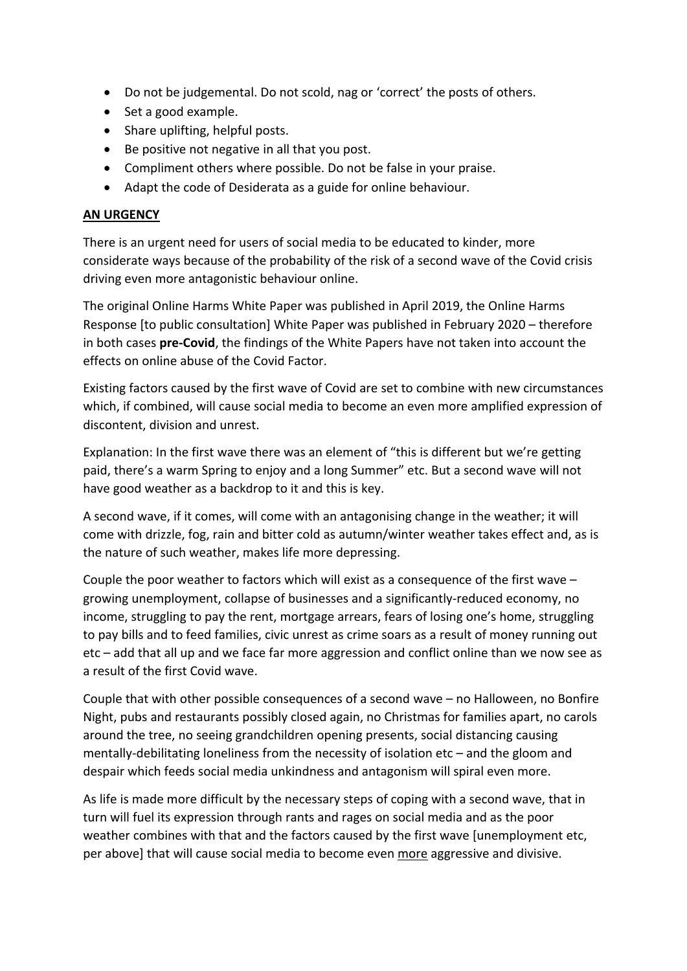- Do not be judgemental. Do not scold, nag or 'correct' the posts of others.
- Set a good example.
- Share uplifting, helpful posts.
- Be positive not negative in all that you post.
- Compliment others where possible. Do not be false in your praise.
- Adapt the code of Desiderata as a guide for online behaviour.

## **AN URGENCY**

There is an urgent need for users of social media to be educated to kinder, more considerate ways because of the probability of the risk of a second wave of the Covid crisis driving even more antagonistic behaviour online.

The original Online Harms White Paper was published in April 2019, the Online Harms Response [to public consultation] White Paper was published in February 2020 – therefore in both cases **pre-Covid**, the findings of the White Papers have not taken into account the effects on online abuse of the Covid Factor.

Existing factors caused by the first wave of Covid are set to combine with new circumstances which, if combined, will cause social media to become an even more amplified expression of discontent, division and unrest.

Explanation: In the first wave there was an element of "this is different but we're getting paid, there's a warm Spring to enjoy and a long Summer" etc. But a second wave will not have good weather as a backdrop to it and this is key.

A second wave, if it comes, will come with an antagonising change in the weather; it will come with drizzle, fog, rain and bitter cold as autumn/winter weather takes effect and, as is the nature of such weather, makes life more depressing.

Couple the poor weather to factors which will exist as a consequence of the first wave – growing unemployment, collapse of businesses and a significantly-reduced economy, no income, struggling to pay the rent, mortgage arrears, fears of losing one's home, struggling to pay bills and to feed families, civic unrest as crime soars as a result of money running out etc – add that all up and we face far more aggression and conflict online than we now see as a result of the first Covid wave.

Couple that with other possible consequences of a second wave – no Halloween, no Bonfire Night, pubs and restaurants possibly closed again, no Christmas for families apart, no carols around the tree, no seeing grandchildren opening presents, social distancing causing mentally-debilitating loneliness from the necessity of isolation etc – and the gloom and despair which feeds social media unkindness and antagonism will spiral even more.

As life is made more difficult by the necessary steps of coping with a second wave, that in turn will fuel its expression through rants and rages on social media and as the poor weather combines with that and the factors caused by the first wave [unemployment etc, per above] that will cause social media to become even more aggressive and divisive.